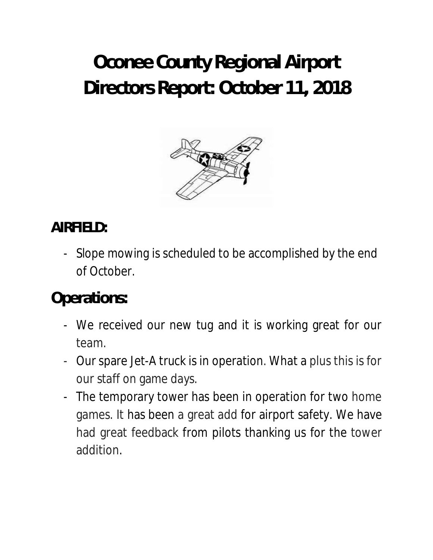# **Oconee County Regional Airport Directors Report: October 11, 2018**



#### **AIRFIELD:**

- Slope mowing is scheduled to be accomplished by the end of October.

# **Operations:**

- We received our new tug and it is working great for our team.
- Our spare Jet-A truck is in operation. What a plus this is for our staff on game days.
- The temporary tower has been in operation for two home games. It has been a great add for airport safety. We have had great feedback from pilots thanking us for the tower addition.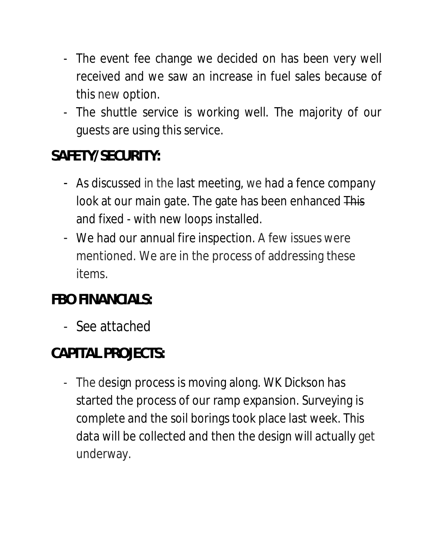- The event fee change we decided on has been very well received and we saw an increase in fuel sales because of this new option.
- The shuttle service is working well. The majority of our guests are using this service.

## **SAFETY/SECURITY:**

- As discussed in the last meeting, we had a fence company look at our main gate. The gate has been enhanced This and fixed - with new loops installed.
- We had our annual fire inspection. A few issues were mentioned. We are in the process of addressing these items.

## **FBO FINANCIALS:**

- See attached

# **CAPITAL PROJECTS:**

- The design process is moving along. WK Dickson has started the process of our ramp expansion. Surveying is complete and the soil borings took place last week. This data will be collected and then the design will actually get underway.